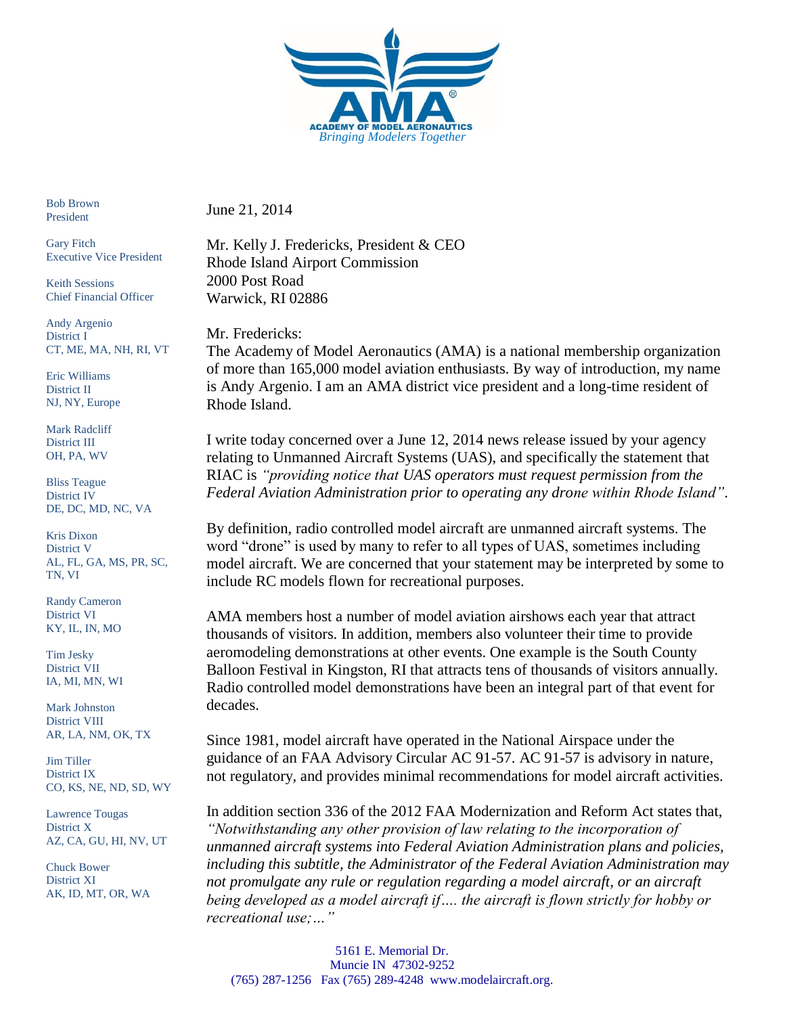

Bob Brown President

Gary Fitch Executive Vice President

Keith Sessions Chief Financial Officer

Andy Argenio District I CT, ME, MA, NH, RI, VT

Eric Williams District II NJ, NY, Europe

Mark Radcliff District III OH, PA, WV

Bliss Teague District IV DE, DC, MD, NC, VA

Kris Dixon District V AL, FL, GA, MS, PR, SC, TN, VI

Randy Cameron District VI KY, IL, IN, MO

Tim Jesky District VII IA, MI, MN, WI

Mark Johnston District VIII AR, LA, NM, OK, TX

Jim Tiller District IX CO, KS, NE, ND, SD, WY

Lawrence Tougas District X AZ, CA, GU, HI, NV, UT

Chuck Bower District XI AK, ID, MT, OR, WA June 21, 2014

Mr. Kelly J. Fredericks, President & CEO Rhode Island Airport Commission 2000 Post Road Warwick, RI 02886

Mr. Fredericks:

The Academy of Model Aeronautics (AMA) is a national membership organization of more than 165,000 model aviation enthusiasts. By way of introduction, my name is Andy Argenio. I am an AMA district vice president and a long-time resident of Rhode Island.

I write today concerned over a June 12, 2014 news release issued by your agency relating to Unmanned Aircraft Systems (UAS), and specifically the statement that RIAC is *"providing notice that UAS operators must request permission from the Federal Aviation Administration prior to operating any drone within Rhode Island"*.

By definition, radio controlled model aircraft are unmanned aircraft systems. The word "drone" is used by many to refer to all types of UAS, sometimes including model aircraft. We are concerned that your statement may be interpreted by some to include RC models flown for recreational purposes.

AMA members host a number of model aviation airshows each year that attract thousands of visitors. In addition, members also volunteer their time to provide aeromodeling demonstrations at other events. One example is the South County Balloon Festival in Kingston, RI that attracts tens of thousands of visitors annually. Radio controlled model demonstrations have been an integral part of that event for decades.

Since 1981, model aircraft have operated in the National Airspace under the guidance of an FAA Advisory Circular AC 91-57. AC 91-57 is advisory in nature, not regulatory, and provides minimal recommendations for model aircraft activities.

In addition section 336 of the 2012 FAA Modernization and Reform Act states that, *"Notwithstanding any other provision of law relating to the incorporation of unmanned aircraft systems into Federal Aviation Administration plans and policies, including this subtitle, the Administrator of the Federal Aviation Administration may not promulgate any rule or regulation regarding a model aircraft, or an aircraft being developed as a model aircraft if…. the aircraft is flown strictly for hobby or recreational use;…"*